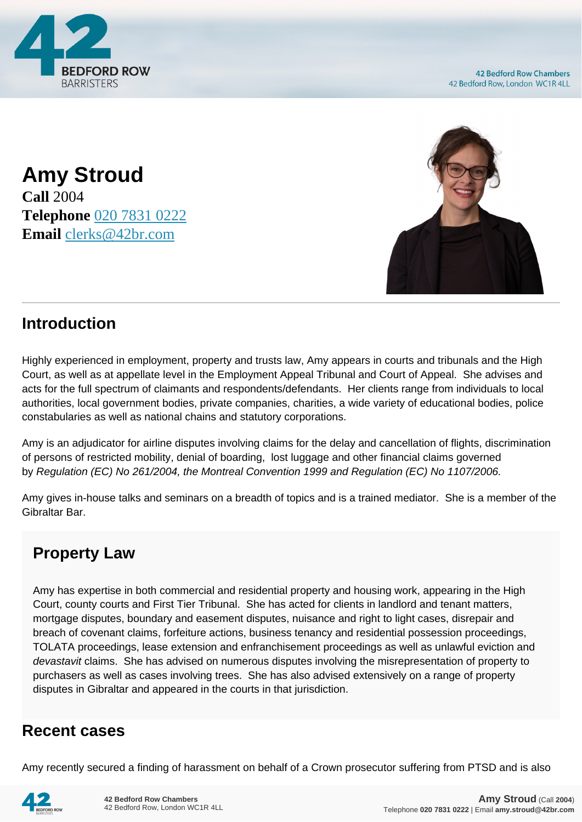

**42 Bedford Row Chambers** 42 Bedford Row, London WC1R 4LL

**Amy Stroud Call** 2004 **Telephone** [020 7831 0222](https://pdf.codeshore.co/_42br/tel:020 7831 0222) **Email** [clerks@42br.com](mailto:clerks@42br.com)



## **Introduction**

Highly experienced in employment, property and trusts law, Amy appears in courts and tribunals and the High Court, as well as at appellate level in the Employment Appeal Tribunal and Court of Appeal. She advises and acts for the full spectrum of claimants and respondents/defendants. Her clients range from individuals to local authorities, local government bodies, private companies, charities, a wide variety of educational bodies, police constabularies as well as national chains and statutory corporations.

Amy is an adjudicator for airline disputes involving claims for the delay and cancellation of flights, discrimination of persons of restricted mobility, denial of boarding, lost luggage and other financial claims governed by Regulation (EC) No 261/2004, the Montreal Convention 1999 and Regulation (EC) No 1107/2006.

Amy gives in-house talks and seminars on a breadth of topics and is a trained mediator. She is a member of the Gibraltar Bar.

## **Property Law**

Amy has expertise in both commercial and residential property and housing work, appearing in the High Court, county courts and First Tier Tribunal. She has acted for clients in landlord and tenant matters, mortgage disputes, boundary and easement disputes, nuisance and right to light cases, disrepair and breach of covenant claims, forfeiture actions, business tenancy and residential possession proceedings, TOLATA proceedings, lease extension and enfranchisement proceedings as well as unlawful eviction and devastavit claims. She has advised on numerous disputes involving the misrepresentation of property to purchasers as well as cases involving trees. She has also advised extensively on a range of property disputes in Gibraltar and appeared in the courts in that jurisdiction.

## **Recent cases**

Amy recently secured a finding of harassment on behalf of a Crown prosecutor suffering from PTSD and is also